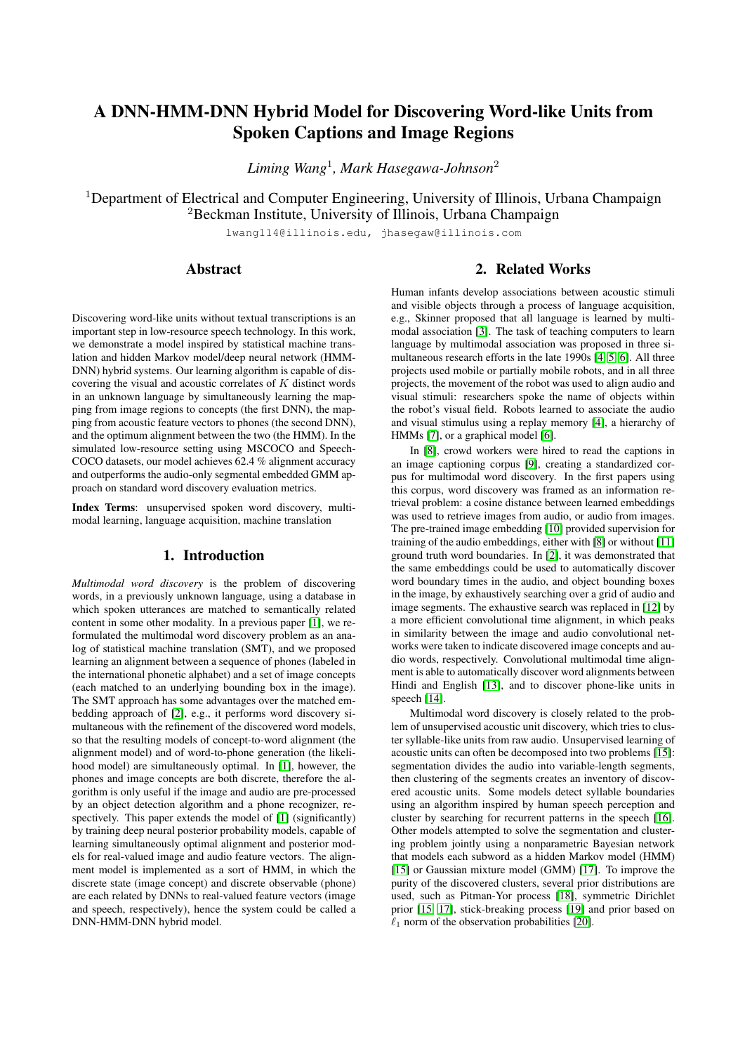# <span id="page-0-0"></span>A DNN-HMM-DNN Hybrid Model for Discovering Word-like Units from Spoken Captions and Image Regions

*Liming Wang*<sup>1</sup> *, Mark Hasegawa-Johnson*<sup>2</sup>

<sup>1</sup>Department of Electrical and Computer Engineering, University of Illinois, Urbana Champaign <sup>2</sup>Beckman Institute, University of Illinois, Urbana Champaign

lwang114@illinois.edu, jhasegaw@illinois.com

#### Abstract

# 2. Related Works

Discovering word-like units without textual transcriptions is an important step in low-resource speech technology. In this work, we demonstrate a model inspired by statistical machine translation and hidden Markov model/deep neural network (HMM-DNN) hybrid systems. Our learning algorithm is capable of discovering the visual and acoustic correlates of K distinct words in an unknown language by simultaneously learning the mapping from image regions to concepts (the first DNN), the mapping from acoustic feature vectors to phones (the second DNN), and the optimum alignment between the two (the HMM). In the simulated low-resource setting using MSCOCO and Speech-COCO datasets, our model achieves 62.4 % alignment accuracy and outperforms the audio-only segmental embedded GMM approach on standard word discovery evaluation metrics.

Index Terms: unsupervised spoken word discovery, multimodal learning, language acquisition, machine translation

### 1. Introduction

*Multimodal word discovery* is the problem of discovering words, in a previously unknown language, using a database in which spoken utterances are matched to semantically related content in some other modality. In a previous paper [\[1\]](#page-4-0), we reformulated the multimodal word discovery problem as an analog of statistical machine translation (SMT), and we proposed learning an alignment between a sequence of phones (labeled in the international phonetic alphabet) and a set of image concepts (each matched to an underlying bounding box in the image). The SMT approach has some advantages over the matched embedding approach of [\[2\]](#page-4-1), e.g., it performs word discovery simultaneous with the refinement of the discovered word models, so that the resulting models of concept-to-word alignment (the alignment model) and of word-to-phone generation (the likelihood model) are simultaneously optimal. In [\[1\]](#page-4-0), however, the phones and image concepts are both discrete, therefore the algorithm is only useful if the image and audio are pre-processed by an object detection algorithm and a phone recognizer, re-spectively. This paper extends the model of [\[1\]](#page-4-0) (significantly) by training deep neural posterior probability models, capable of learning simultaneously optimal alignment and posterior models for real-valued image and audio feature vectors. The alignment model is implemented as a sort of HMM, in which the discrete state (image concept) and discrete observable (phone) are each related by DNNs to real-valued feature vectors (image and speech, respectively), hence the system could be called a DNN-HMM-DNN hybrid model.

Human infants develop associations between acoustic stimuli and visible objects through a process of language acquisition, e.g., Skinner proposed that all language is learned by multimodal association [\[3\]](#page-4-2). The task of teaching computers to learn language by multimodal association was proposed in three simultaneous research efforts in the late 1990s [\[4,](#page-4-3) [5,](#page-4-4) [6\]](#page-4-5). All three projects used mobile or partially mobile robots, and in all three projects, the movement of the robot was used to align audio and visual stimuli: researchers spoke the name of objects within the robot's visual field. Robots learned to associate the audio and visual stimulus using a replay memory [\[4\]](#page-4-3), a hierarchy of HMMs [\[7\]](#page-4-6), or a graphical model [\[6\]](#page-4-5).

In [\[8\]](#page-4-7), crowd workers were hired to read the captions in an image captioning corpus [\[9\]](#page-4-8), creating a standardized corpus for multimodal word discovery. In the first papers using this corpus, word discovery was framed as an information retrieval problem: a cosine distance between learned embeddings was used to retrieve images from audio, or audio from images. The pre-trained image embedding [\[10\]](#page-4-9) provided supervision for training of the audio embeddings, either with [\[8\]](#page-4-7) or without [\[11\]](#page-4-10) ground truth word boundaries. In [\[2\]](#page-4-1), it was demonstrated that the same embeddings could be used to automatically discover word boundary times in the audio, and object bounding boxes in the image, by exhaustively searching over a grid of audio and image segments. The exhaustive search was replaced in [\[12\]](#page-4-11) by a more efficient convolutional time alignment, in which peaks in similarity between the image and audio convolutional networks were taken to indicate discovered image concepts and audio words, respectively. Convolutional multimodal time alignment is able to automatically discover word alignments between Hindi and English [\[13\]](#page-4-12), and to discover phone-like units in speech [\[14\]](#page-4-13).

Multimodal word discovery is closely related to the problem of unsupervised acoustic unit discovery, which tries to cluster syllable-like units from raw audio. Unsupervised learning of acoustic units can often be decomposed into two problems [\[15\]](#page-4-14): segmentation divides the audio into variable-length segments, then clustering of the segments creates an inventory of discovered acoustic units. Some models detect syllable boundaries using an algorithm inspired by human speech perception and cluster by searching for recurrent patterns in the speech [\[16\]](#page-4-15). Other models attempted to solve the segmentation and clustering problem jointly using a nonparametric Bayesian network that models each subword as a hidden Markov model (HMM) [\[15\]](#page-4-14) or Gaussian mixture model (GMM) [\[17\]](#page-4-16). To improve the purity of the discovered clusters, several prior distributions are used, such as Pitman-Yor process [\[18\]](#page-4-17), symmetric Dirichlet prior [\[15,](#page-4-14) [17\]](#page-4-16), stick-breaking process [\[19\]](#page-4-18) and prior based on  $\ell_1$  norm of the observation probabilities [\[20\]](#page-4-19).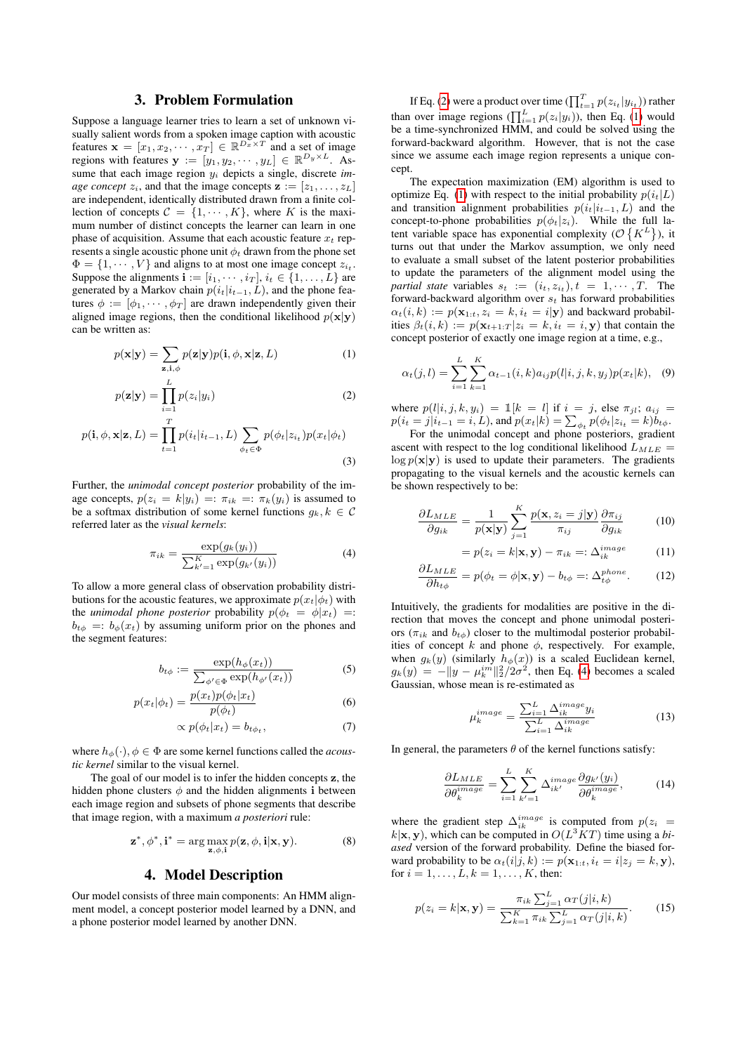## 3. Problem Formulation

Suppose a language learner tries to learn a set of unknown visually salient words from a spoken image caption with acoustic features  $\mathbf{x} = [x_1, x_2, \cdots, x_T] \in \mathbb{R}^{D_x \times T}$  and a set of image regions with features  $\mathbf{y} := [y_1, y_2, \cdots, y_L] \in \mathbb{R}^{D_y \times L}$ . Assume that each image region y<sup>i</sup> depicts a single, discrete *image concept*  $z_i$ , and that the image concepts  $\mathbf{z} := [z_1, \dots, z_L]$ are independent, identically distributed drawn from a finite collection of concepts  $C = \{1, \dots, K\}$ , where K is the maximum number of distinct concepts the learner can learn in one phase of acquisition. Assume that each acoustic feature  $x_t$  represents a single acoustic phone unit  $\phi_t$  drawn from the phone set  $\Phi = \{1, \dots, V\}$  and aligns to at most one image concept  $z_{i_t}$ . Suppose the alignments  $\mathbf{i} := [i_1, \cdots, i_T], i_t \in \{1, \ldots, L\}$  are generated by a Markov chain  $p(i_t|i_{t-1}, L)$ , and the phone features  $\phi := [\phi_1, \cdots, \phi_T]$  are drawn independently given their aligned image regions, then the conditional likelihood  $p(x|y)$ can be written as:

$$
p(\mathbf{x}|\mathbf{y}) = \sum_{\mathbf{z}, \mathbf{i}, \phi} p(\mathbf{z}|\mathbf{y}) p(\mathbf{i}, \phi, \mathbf{x}|\mathbf{z}, L)
$$
 (1)

$$
p(\mathbf{z}|\mathbf{y}) = \prod_{i=1}^{L} p(z_i|y_i)
$$
 (2)

$$
p(\mathbf{i}, \phi, \mathbf{x} | \mathbf{z}, L) = \prod_{t=1}^{T} p(i_t | i_{t-1}, L) \sum_{\phi_t \in \Phi} p(\phi_t | z_{i_t}) p(x_t | \phi_t)
$$
\n(3)

Further, the *unimodal concept posterior* probability of the image concepts,  $p(z_i = k|y_i) =: \pi_{ik} =: \pi_k(y_i)$  is assumed to be a softmax distribution of some kernel functions  $g_k, k \in \mathcal{C}$ referred later as the *visual kernels*:

$$
\pi_{ik} = \frac{\exp(g_k(y_i))}{\sum_{k'=1}^{K} \exp(g_{k'}(y_i))}
$$
(4)

To allow a more general class of observation probability distributions for the acoustic features, we approximate  $p(x_t|\phi_t)$  with the *unimodal phone posterior* probability  $p(\phi_t = \phi | x_t) =$ :  $b_{t\phi}$  =:  $b_{\phi}(x_t)$  by assuming uniform prior on the phones and the segment features:

$$
b_{t\phi} := \frac{\exp(h_{\phi}(x_t))}{\sum_{\phi' \in \Phi} \exp(h_{\phi'}(x_t))}
$$
(5)

$$
p(x_t|\phi_t) = \frac{p(x_t)p(\phi_t|x_t)}{p(\phi_t)}
$$
\n(6)

$$
\propto p(\phi_t|x_t) = b_{t\phi_t},\tag{7}
$$

where  $h_{\phi}(\cdot)$ ,  $\phi \in \Phi$  are some kernel functions called the *acoustic kernel* similar to the visual kernel.

The goal of our model is to infer the hidden concepts z, the hidden phone clusters  $\phi$  and the hidden alignments i between each image region and subsets of phone segments that describe that image region, with a maximum *a posteriori* rule:

$$
\mathbf{z}^*, \phi^*, \mathbf{i}^* = \arg \max_{\mathbf{z}, \phi, \mathbf{i}} p(\mathbf{z}, \phi, \mathbf{i} | \mathbf{x}, \mathbf{y}). \tag{8}
$$

#### 4. Model Description

Our model consists of three main components: An HMM alignment model, a concept posterior model learned by a DNN, and a phone posterior model learned by another DNN.

If Eq. [\(2\)](#page-1-0) were a product over time  $(\prod_{t=1}^{T} p(z_{i_t} | y_{i_t}))$  rather than over image regions  $(\prod_{i=1}^{L} p(z_i|y_i))$ , then Eq. [\(1\)](#page-1-1) would be a time-synchronized HMM, and could be solved using the forward-backward algorithm. However, that is not the case since we assume each image region represents a unique concept.

The expectation maximization (EM) algorithm is used to optimize Eq. [\(1\)](#page-1-1) with respect to the initial probability  $p(i_t|L)$ and transition alignment probabilities  $p(i_t|i_{t-1}, L)$  and the concept-to-phone probabilities  $p(\phi_t|z_i)$ . While the full latent variable space has exponential complexity ( $\mathcal{O}\left\{K^L\right\}$ ), it turns out that under the Markov assumption, we only need to evaluate a small subset of the latent posterior probabilities to update the parameters of the alignment model using the *partial state* variables  $s_t := (i_t, z_{i_t}), t = 1, \cdots, T$ . The forward-backward algorithm over  $s_t$  has forward probabilities  $\alpha_t(i, k) := p(\mathbf{x}_{1:t}, z_i = k, i_t = i | \mathbf{y})$  and backward probabilities  $\beta_t(i,k) := p(\mathbf{x}_{t+1:T} | z_i = k, i_t = i, \mathbf{y})$  that contain the concept posterior of exactly one image region at a time, e.g.,

<span id="page-1-3"></span><span id="page-1-1"></span>
$$
\alpha_t(j,l) = \sum_{i=1}^L \sum_{k=1}^K \alpha_{t-1}(i,k) a_{ij} p(l|i,j,k,y_j) p(x_t|k), \quad (9)
$$

<span id="page-1-0"></span>where  $p(l|i, j, k, y_i) = \mathbb{1}[k = l]$  if  $i = j$ , else  $\pi_{jl}$ ;  $a_{ij}$  $p(i_t = j | i_{t-1} = i, L)$ , and  $p(x_t | k) = \sum_{\phi_t} p(\phi_t | z_{i_t} = k) b_{t\phi}$ .

For the unimodal concept and phone posteriors, gradient ascent with respect to the log conditional likelihood  $L_{MLE}$  =  $\log p(\mathbf{x}|\mathbf{y})$  is used to update their parameters. The gradients propagating to the visual kernels and the acoustic kernels can be shown respectively to be:

$$
\frac{\partial L_{MLE}}{\partial g_{ik}} = \frac{1}{p(\mathbf{x}|\mathbf{y})} \sum_{j=1}^{K} \frac{p(\mathbf{x}, z_i = j|\mathbf{y})}{\pi_{ij}} \frac{\partial \pi_{ij}}{\partial g_{ik}} \tag{10}
$$

$$
= p(z_i = k | \mathbf{x}, \mathbf{y}) - \pi_{ik} =: \Delta_{ik}^{image} \tag{11}
$$

$$
\frac{\partial L_{MLE}}{\partial h_{t\phi}} = p(\phi_t = \phi | \mathbf{x}, \mathbf{y}) - b_{t\phi} =: \Delta_{t\phi}^{phone}.
$$
 (12)

<span id="page-1-2"></span>Intuitively, the gradients for modalities are positive in the direction that moves the concept and phone unimodal posteriors ( $\pi_{ik}$  and  $b_{t\phi}$ ) closer to the multimodal posterior probabilities of concept k and phone  $\phi$ , respectively. For example, when  $g_k(y)$  (similarly  $h_{\phi}(x)$ ) is a scaled Euclidean kernel,  $g_k(y) = -\|y - \mu_k^{im}\|_2^2/2\sigma^2$ , then Eq. [\(4\)](#page-1-2) becomes a scaled Gaussian, whose mean is re-estimated as

<span id="page-1-4"></span>
$$
\mu_k^{image} = \frac{\sum_{i=1}^{L} \Delta_{ik}^{image} y_i}{\sum_{i=1}^{L} \Delta_{ik}^{image}} \tag{13}
$$

In general, the parameters  $\theta$  of the kernel functions satisfy:

$$
\frac{\partial L_{MLE}}{\partial \theta_k^{image}} = \sum_{i=1}^{L} \sum_{k'=1}^{K} \Delta_{ik'}^{image} \frac{\partial g_{k'}(y_i)}{\partial \theta_k^{image}},
$$
(14)

where the gradient step  $\Delta_{ik}^{image}$  is computed from  $p(z_i)$  $k|\mathbf{x}, \mathbf{y})$ , which can be computed in  $O(L^3KT)$  time using a *biased* version of the forward probability. Define the biased forward probability to be  $\alpha_t(i|j,k) := p(\mathbf{x}_{1:t}, i_t = i|z_j = k, \mathbf{y}),$ for  $i = 1, ..., L, k = 1, ..., K$ , then:

<span id="page-1-5"></span>
$$
p(z_i = k | \mathbf{x}, \mathbf{y}) = \frac{\pi_{ik} \sum_{j=1}^{L} \alpha_T(j | i, k)}{\sum_{k=1}^{K} \pi_{ik} \sum_{j=1}^{L} \alpha_T(j | i, k)}.
$$
(15)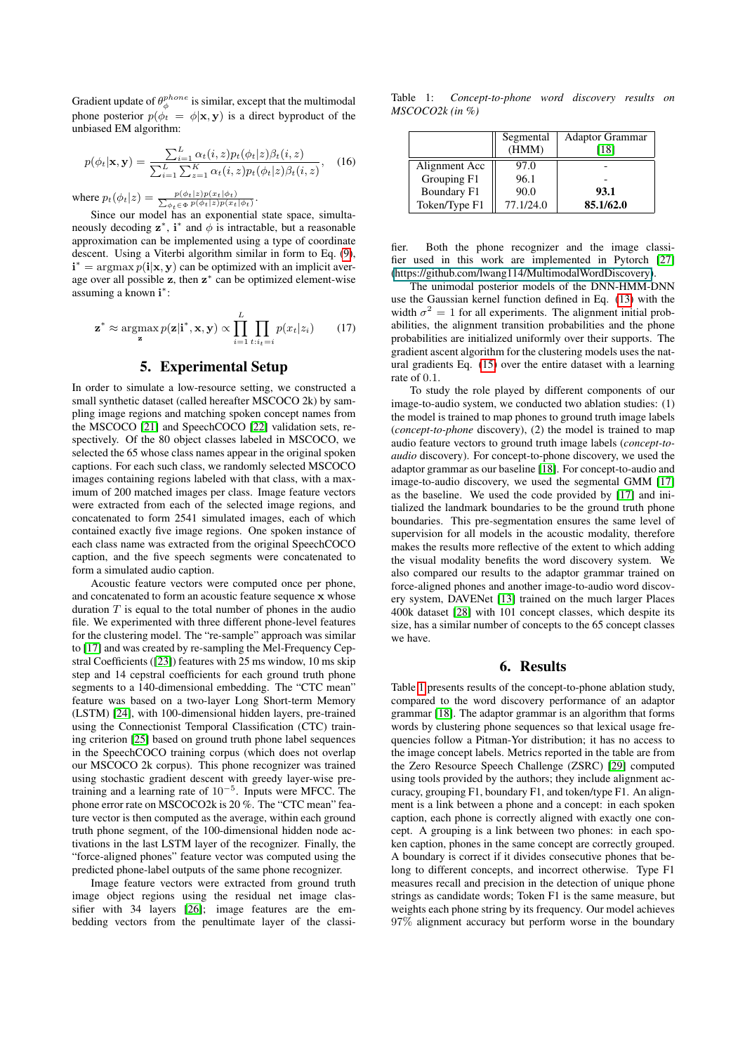Gradient update of  $\theta_{\phi}^{phone}$  is similar, except that the multimodal phone posterior  $p(\phi_t = \phi | \mathbf{x}, \mathbf{y})$  is a direct byproduct of the unbiased EM algorithm:

$$
p(\phi_t|\mathbf{x}, \mathbf{y}) = \frac{\sum_{i=1}^{L} \alpha_t(i, z) p_t(\phi_t|z) \beta_t(i, z)}{\sum_{i=1}^{L} \sum_{z=1}^{K} \alpha_t(i, z) p_t(\phi_t|z) \beta_t(i, z)}, \quad (16)
$$

where  $p_t(\phi_t|z) = \frac{p(\phi_t|z)p(x_t|\phi_t)}{\sum_{\phi_t \in \Phi} p(\phi_t|z)p(x_t|\phi_t)}$ .

Since our model has an exponential state space, simultaneously decoding  $z^*$ , i<sup>\*</sup> and  $\phi$  is intractable, but a reasonable approximation can be implemented using a type of coordinate descent. Using a Viterbi algorithm similar in form to Eq. [\(9\)](#page-1-3),  $\mathbf{i}^* = \argmax p(\mathbf{i}|\mathbf{x}, \mathbf{y})$  can be optimized with an implicit average over all possible z, then z<sup>\*</sup> can be optimized element-wise assuming a known i<sup>\*</sup>:

$$
\mathbf{z}^* \approx \operatorname*{argmax}_{\mathbf{z}} p(\mathbf{z}|\mathbf{i}^*, \mathbf{x}, \mathbf{y}) \propto \prod_{i=1}^{L} \prod_{t:i_t=i} p(x_t|z_i)
$$
 (17)

#### 5. Experimental Setup

In order to simulate a low-resource setting, we constructed a small synthetic dataset (called hereafter MSCOCO 2k) by sampling image regions and matching spoken concept names from the MSCOCO [\[21\]](#page-4-20) and SpeechCOCO [\[22\]](#page-4-21) validation sets, respectively. Of the 80 object classes labeled in MSCOCO, we selected the 65 whose class names appear in the original spoken captions. For each such class, we randomly selected MSCOCO images containing regions labeled with that class, with a maximum of 200 matched images per class. Image feature vectors were extracted from each of the selected image regions, and concatenated to form 2541 simulated images, each of which contained exactly five image regions. One spoken instance of each class name was extracted from the original SpeechCOCO caption, and the five speech segments were concatenated to form a simulated audio caption.

Acoustic feature vectors were computed once per phone, and concatenated to form an acoustic feature sequence x whose duration  $T$  is equal to the total number of phones in the audio file. We experimented with three different phone-level features for the clustering model. The "re-sample" approach was similar to [\[17\]](#page-4-16) and was created by re-sampling the Mel-Frequency Cepstral Coefficients ([\[23\]](#page-4-22)) features with 25 ms window, 10 ms skip step and 14 cepstral coefficients for each ground truth phone segments to a 140-dimensional embedding. The "CTC mean" feature was based on a two-layer Long Short-term Memory (LSTM) [\[24\]](#page-4-23), with 100-dimensional hidden layers, pre-trained using the Connectionist Temporal Classification (CTC) training criterion [\[25\]](#page-4-24) based on ground truth phone label sequences in the SpeechCOCO training corpus (which does not overlap our MSCOCO 2k corpus). This phone recognizer was trained using stochastic gradient descent with greedy layer-wise pretraining and a learning rate of  $10^{-5}$ . Inputs were MFCC. The phone error rate on MSCOCO2k is 20 %. The "CTC mean" feature vector is then computed as the average, within each ground truth phone segment, of the 100-dimensional hidden node activations in the last LSTM layer of the recognizer. Finally, the "force-aligned phones" feature vector was computed using the predicted phone-label outputs of the same phone recognizer.

Image feature vectors were extracted from ground truth image object regions using the residual net image classifier with 34 layers [\[26\]](#page-4-25); image features are the embedding vectors from the penultimate layer of the classi-

<span id="page-2-0"></span>Table 1: *Concept-to-phone word discovery results on MSCOCO2k (in %)*

|                    | Segmental<br>(HMM) | <b>Adaptor Grammar</b><br>[18] |
|--------------------|--------------------|--------------------------------|
| Alignment Acc      | 97.0               |                                |
| Grouping F1        | 96.1               |                                |
| <b>Boundary F1</b> | 90.0               | 93.1                           |
| Token/Type F1      | 77.1/24.0          | 85.1/62.0                      |

fier. Both the phone recognizer and the image classifier used in this work are implemented in Pytorch [\[27\]](#page-4-26) [\(https://github.com/lwang114/MultimodalWordDiscovery\)](#page-0-0).

The unimodal posterior models of the DNN-HMM-DNN use the Gaussian kernel function defined in Eq. [\(13\)](#page-1-4) with the width  $\sigma^2 = 1$  for all experiments. The alignment initial probabilities, the alignment transition probabilities and the phone probabilities are initialized uniformly over their supports. The gradient ascent algorithm for the clustering models uses the natural gradients Eq. [\(15\)](#page-1-5) over the entire dataset with a learning rate of 0.1.

To study the role played by different components of our image-to-audio system, we conducted two ablation studies: (1) the model is trained to map phones to ground truth image labels (*concept-to-phone* discovery), (2) the model is trained to map audio feature vectors to ground truth image labels (*concept-toaudio* discovery). For concept-to-phone discovery, we used the adaptor grammar as our baseline [\[18\]](#page-4-17). For concept-to-audio and image-to-audio discovery, we used the segmental GMM [\[17\]](#page-4-16) as the baseline. We used the code provided by [\[17\]](#page-4-16) and initialized the landmark boundaries to be the ground truth phone boundaries. This pre-segmentation ensures the same level of supervision for all models in the acoustic modality, therefore makes the results more reflective of the extent to which adding the visual modality benefits the word discovery system. We also compared our results to the adaptor grammar trained on force-aligned phones and another image-to-audio word discovery system, DAVENet [\[13\]](#page-4-12) trained on the much larger Places 400k dataset [\[28\]](#page-4-27) with 101 concept classes, which despite its size, has a similar number of concepts to the 65 concept classes we have.

#### 6. Results

Table [1](#page-2-0) presents results of the concept-to-phone ablation study, compared to the word discovery performance of an adaptor grammar [\[18\]](#page-4-17). The adaptor grammar is an algorithm that forms words by clustering phone sequences so that lexical usage frequencies follow a Pitman-Yor distribution; it has no access to the image concept labels. Metrics reported in the table are from the Zero Resource Speech Challenge (ZSRC) [\[29\]](#page-4-28) computed using tools provided by the authors; they include alignment accuracy, grouping F1, boundary F1, and token/type F1. An alignment is a link between a phone and a concept: in each spoken caption, each phone is correctly aligned with exactly one concept. A grouping is a link between two phones: in each spoken caption, phones in the same concept are correctly grouped. A boundary is correct if it divides consecutive phones that belong to different concepts, and incorrect otherwise. Type F1 measures recall and precision in the detection of unique phone strings as candidate words; Token F1 is the same measure, but weights each phone string by its frequency. Our model achieves 97% alignment accuracy but perform worse in the boundary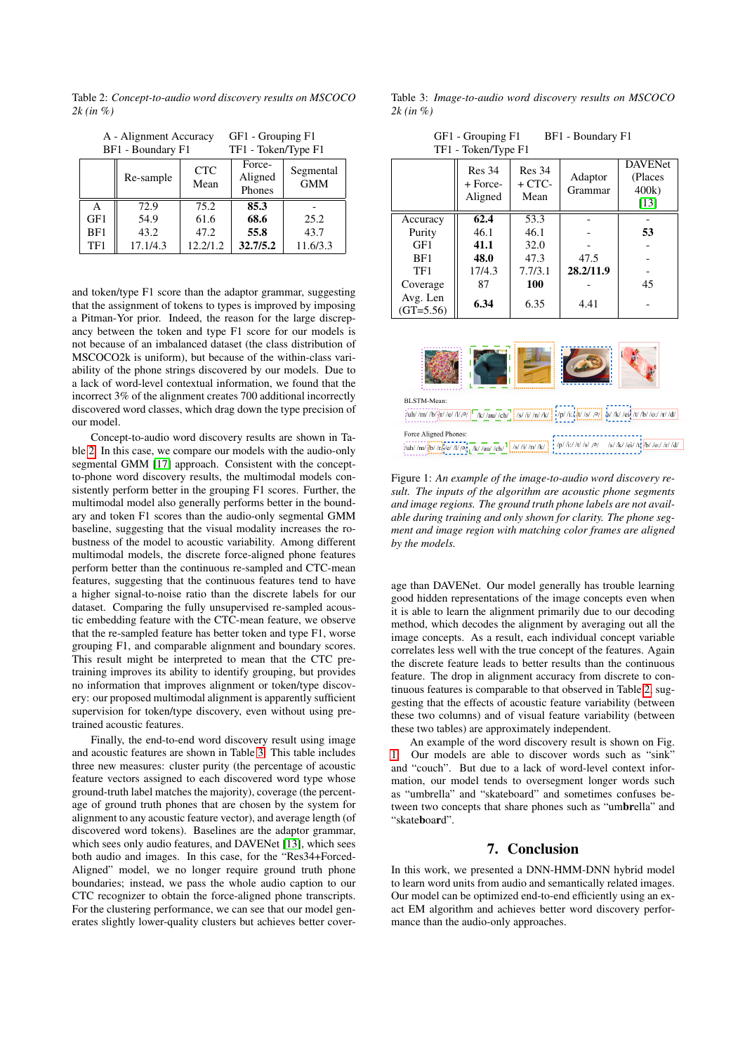<span id="page-3-0"></span>Table 2: *Concept-to-audio word discovery results on MSCOCO 2k (in %)*

| BF1 - Boundary F1 |           | TF1 - Token/Type F1 |                             |                         |
|-------------------|-----------|---------------------|-----------------------------|-------------------------|
|                   | Re-sample | <b>CTC</b><br>Mean  | Force-<br>Aligned<br>Phones | Segmental<br><b>GMM</b> |
| A                 | 72.9      | 75.2                | 85.3                        |                         |
| GF1               | 54.9      | 61.6                | 68.6                        | 25.2                    |
| BF1               | 43.2      | 47.2                | 55.8                        | 43.7                    |
| TF1               | 17.1/4.3  | 12.2/1.2            | 32.7/5.2                    | 11.6/3.3                |

A - Alignment Accuracy GF1 - Grouping F1

and token/type F1 score than the adaptor grammar, suggesting that the assignment of tokens to types is improved by imposing a Pitman-Yor prior. Indeed, the reason for the large discrepancy between the token and type F1 score for our models is not because of an imbalanced dataset (the class distribution of MSCOCO2k is uniform), but because of the within-class variability of the phone strings discovered by our models. Due to a lack of word-level contextual information, we found that the incorrect 3% of the alignment creates 700 additional incorrectly discovered word classes, which drag down the type precision of our model.

Concept-to-audio word discovery results are shown in Table [2.](#page-3-0) In this case, we compare our models with the audio-only segmental GMM [\[17\]](#page-4-16) approach. Consistent with the conceptto-phone word discovery results, the multimodal models consistently perform better in the grouping F1 scores. Further, the multimodal model also generally performs better in the boundary and token F1 scores than the audio-only segmental GMM baseline, suggesting that the visual modality increases the robustness of the model to acoustic variability. Among different multimodal models, the discrete force-aligned phone features perform better than the continuous re-sampled and CTC-mean features, suggesting that the continuous features tend to have a higher signal-to-noise ratio than the discrete labels for our dataset. Comparing the fully unsupervised re-sampled acoustic embedding feature with the CTC-mean feature, we observe that the re-sampled feature has better token and type F1, worse grouping F1, and comparable alignment and boundary scores. This result might be interpreted to mean that the CTC pretraining improves its ability to identify grouping, but provides no information that improves alignment or token/type discovery: our proposed multimodal alignment is apparently sufficient supervision for token/type discovery, even without using pretrained acoustic features.

Finally, the end-to-end word discovery result using image and acoustic features are shown in Table [3.](#page-3-1) This table includes three new measures: cluster purity (the percentage of acoustic feature vectors assigned to each discovered word type whose ground-truth label matches the majority), coverage (the percentage of ground truth phones that are chosen by the system for alignment to any acoustic feature vector), and average length (of discovered word tokens). Baselines are the adaptor grammar, which sees only audio features, and DAVENet [\[13\]](#page-4-12), which sees both audio and images. In this case, for the "Res34+Forced-Aligned" model, we no longer require ground truth phone boundaries; instead, we pass the whole audio caption to our CTC recognizer to obtain the force-aligned phone transcripts. For the clustering performance, we can see that our model generates slightly lower-quality clusters but achieves better cover-

<span id="page-3-1"></span>Table 3: *Image-to-audio word discovery results on MSCOCO 2k (in %)*

| GF1 - Grouping F1<br>BF1 - Boundary F1<br>TF1 - Token/Type F1 |                               |                                   |                    |                                            |  |  |
|---------------------------------------------------------------|-------------------------------|-----------------------------------|--------------------|--------------------------------------------|--|--|
|                                                               | Res 34<br>+ Force-<br>Aligned | <b>Res</b> 34<br>$+$ CTC-<br>Mean | Adaptor<br>Grammar | <b>DAVENet</b><br>(Places<br>400k)<br>[13] |  |  |
| Accuracy                                                      | 62.4                          | 53.3                              |                    |                                            |  |  |
| Purity                                                        | 46.1                          | 46.1                              |                    | 53                                         |  |  |
| GF1                                                           | 41.1                          | 32.0                              |                    |                                            |  |  |
| BF1                                                           | 48.0                          | 47.3                              | 47.5               |                                            |  |  |
| TF1                                                           | 17/4.3                        | 7.7/3.1                           | 28.2/11.9          |                                            |  |  |
| Coverage                                                      | 87                            | 100                               |                    | 45                                         |  |  |
| Avg. Len<br>$(GT=5.56)$                                       | 6.34                          | 6.35                              | 4.41               |                                            |  |  |

<span id="page-3-2"></span>

Figure 1: *An example of the image-to-audio word discovery result. The inputs of the algorithm are acoustic phone segments and image regions. The ground truth phone labels are not available during training and only shown for clarity. The phone segment and image region with matching color frames are aligned by the models.*

age than DAVENet. Our model generally has trouble learning good hidden representations of the image concepts even when it is able to learn the alignment primarily due to our decoding method, which decodes the alignment by averaging out all the image concepts. As a result, each individual concept variable correlates less well with the true concept of the features. Again the discrete feature leads to better results than the continuous feature. The drop in alignment accuracy from discrete to continuous features is comparable to that observed in Table [2,](#page-3-0) suggesting that the effects of acoustic feature variability (between these two columns) and of visual feature variability (between these two tables) are approximately independent.

An example of the word discovery result is shown on Fig. [1.](#page-3-2) Our models are able to discover words such as "sink" and "couch". But due to a lack of word-level context information, our model tends to oversegment longer words such as "umbrella" and "skateboard" and sometimes confuses between two concepts that share phones such as "umbrella" and "skateboard".

## 7. Conclusion

In this work, we presented a DNN-HMM-DNN hybrid model to learn word units from audio and semantically related images. Our model can be optimized end-to-end efficiently using an exact EM algorithm and achieves better word discovery performance than the audio-only approaches.